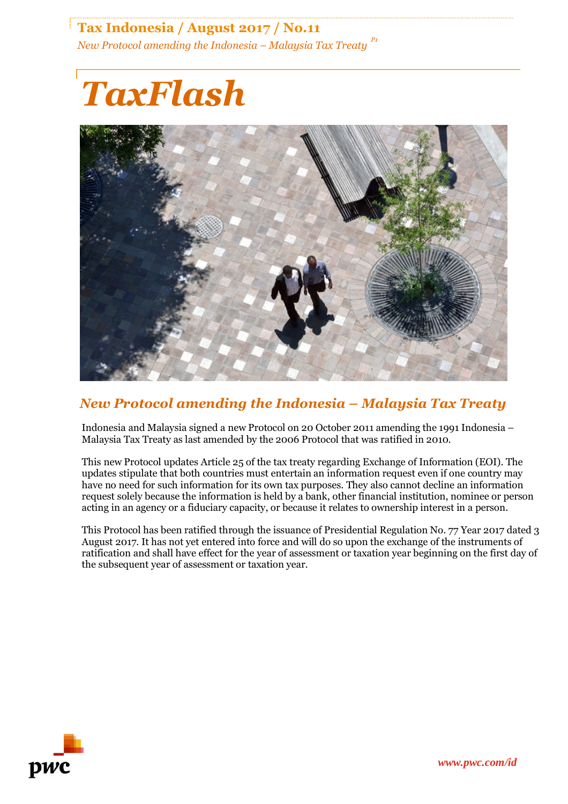## **Tax Indonesia / August 2017 / No.11** *New Protocol amending the Indonesia – Malaysia Tax Treaty P1*

# *TaxFlash*



## *New Protocol amending the Indonesia – Malaysia Tax Treaty*

Indonesia and Malaysia signed a new Protocol on 20 October 2011 amending the 1991 Indonesia – Malaysia Tax Treaty as last amended by the 2006 Protocol that was ratified in 2010.

This new Protocol updates Article 25 of the tax treaty regarding Exchange of Information (EOI). The updates stipulate that both countries must entertain an information request even if one country may have no need for such information for its own tax purposes. They also cannot decline an information request solely because the information is held by a bank, other financial institution, nominee or person acting in an agency or a fiduciary capacity, or because it relates to ownership interest in a person.

This Protocol has been ratified through the issuance of Presidential Regulation No. 77 Year 2017 dated 3 August 2017. It has not yet entered into force and will do so upon the exchange of the instruments of ratification and shall have effect for the year of assessment or taxation year beginning on the first day of the subsequent year of assessment or taxation year.